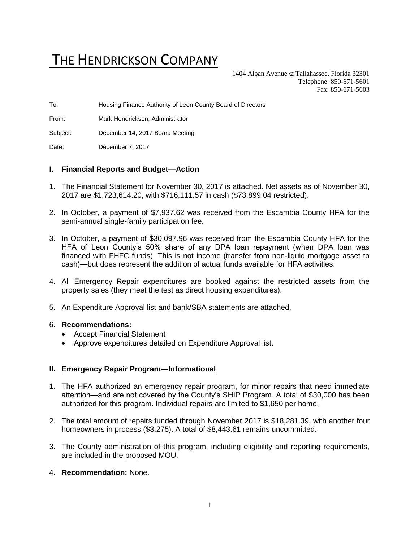# THE HENDRICKSON COMPANY

1404 Alban Avenue  $\subset \text{Tallahasse}$ , Florida 32301 Telephone: 850-671-5601 Fax: 850-671-5603

To: Housing Finance Authority of Leon County Board of Directors

From: Mark Hendrickson, Administrator

Subject: December 14, 2017 Board Meeting

Date: December 7, 2017

## **I. Financial Reports and Budget—Action**

- 1. The Financial Statement for November 30, 2017 is attached. Net assets as of November 30, 2017 are \$1,723,614.20, with \$716,111.57 in cash (\$73,899.04 restricted).
- 2. In October, a payment of \$7,937.62 was received from the Escambia County HFA for the semi-annual single-family participation fee.
- 3. In October, a payment of \$30,097.96 was received from the Escambia County HFA for the HFA of Leon County's 50% share of any DPA loan repayment (when DPA loan was financed with FHFC funds). This is not income (transfer from non-liquid mortgage asset to cash)—but does represent the addition of actual funds available for HFA activities.
- 4. All Emergency Repair expenditures are booked against the restricted assets from the property sales (they meet the test as direct housing expenditures).
- 5. An Expenditure Approval list and bank/SBA statements are attached.

#### 6. **Recommendations:**

- Accept Financial Statement
- Approve expenditures detailed on Expenditure Approval list.

#### **II. Emergency Repair Program—Informational**

- 1. The HFA authorized an emergency repair program, for minor repairs that need immediate attention—and are not covered by the County's SHIP Program. A total of \$30,000 has been authorized for this program. Individual repairs are limited to \$1,650 per home.
- 2. The total amount of repairs funded through November 2017 is \$18,281.39, with another four homeowners in process (\$3,275). A total of \$8,443.61 remains uncommitted.
- 3. The County administration of this program, including eligibility and reporting requirements, are included in the proposed MOU.

#### 4. **Recommendation:** None.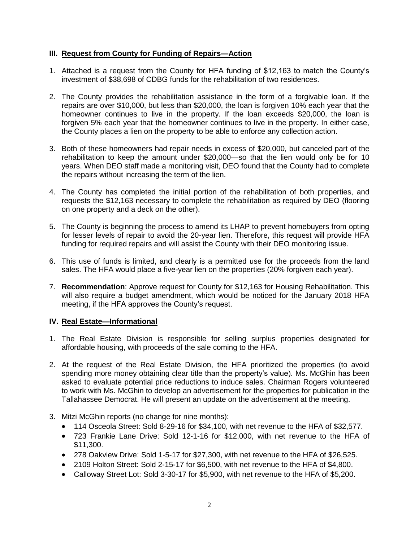## **III. Request from County for Funding of Repairs—Action**

- 1. Attached is a request from the County for HFA funding of \$12,163 to match the County's investment of \$38,698 of CDBG funds for the rehabilitation of two residences.
- 2. The County provides the rehabilitation assistance in the form of a forgivable loan. If the repairs are over \$10,000, but less than \$20,000, the loan is forgiven 10% each year that the homeowner continues to live in the property. If the loan exceeds \$20,000, the loan is forgiven 5% each year that the homeowner continues to live in the property. In either case, the County places a lien on the property to be able to enforce any collection action.
- 3. Both of these homeowners had repair needs in excess of \$20,000, but canceled part of the rehabilitation to keep the amount under \$20,000—so that the lien would only be for 10 years. When DEO staff made a monitoring visit, DEO found that the County had to complete the repairs without increasing the term of the lien.
- 4. The County has completed the initial portion of the rehabilitation of both properties, and requests the \$12,163 necessary to complete the rehabilitation as required by DEO (flooring on one property and a deck on the other).
- 5. The County is beginning the process to amend its LHAP to prevent homebuyers from opting for lesser levels of repair to avoid the 20-year lien. Therefore, this request will provide HFA funding for required repairs and will assist the County with their DEO monitoring issue.
- 6. This use of funds is limited, and clearly is a permitted use for the proceeds from the land sales. The HFA would place a five-year lien on the properties (20% forgiven each year).
- 7. **Recommendation**: Approve request for County for \$12,163 for Housing Rehabilitation. This will also require a budget amendment, which would be noticed for the January 2018 HFA meeting, if the HFA approves the County's request.

## **IV. Real Estate—Informational**

- 1. The Real Estate Division is responsible for selling surplus properties designated for affordable housing, with proceeds of the sale coming to the HFA.
- 2. At the request of the Real Estate Division, the HFA prioritized the properties (to avoid spending more money obtaining clear title than the property's value). Ms. McGhin has been asked to evaluate potential price reductions to induce sales. Chairman Rogers volunteered to work with Ms. McGhin to develop an advertisement for the properties for publication in the Tallahassee Democrat. He will present an update on the advertisement at the meeting.
- 3. Mitzi McGhin reports (no change for nine months):
	- 114 Osceola Street: Sold 8-29-16 for \$34,100, with net revenue to the HFA of \$32,577.
	- 723 Frankie Lane Drive: Sold 12-1-16 for \$12,000, with net revenue to the HFA of \$11,300.
	- 278 Oakview Drive: Sold 1-5-17 for \$27,300, with net revenue to the HFA of \$26,525.
	- 2109 Holton Street: Sold 2-15-17 for \$6,500, with net revenue to the HFA of \$4,800.
	- Calloway Street Lot: Sold 3-30-17 for \$5,900, with net revenue to the HFA of \$5,200.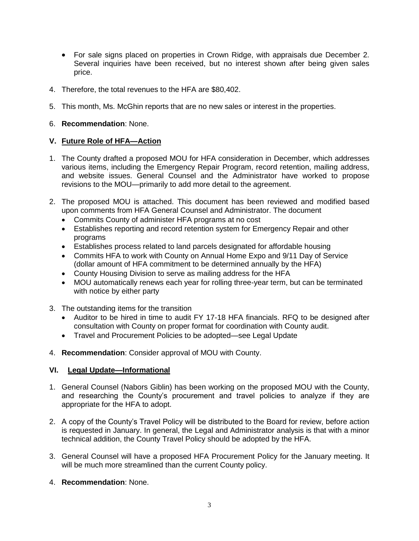- For sale signs placed on properties in Crown Ridge, with appraisals due December 2. Several inquiries have been received, but no interest shown after being given sales price.
- 4. Therefore, the total revenues to the HFA are \$80,402.
- 5. This month, Ms. McGhin reports that are no new sales or interest in the properties.
- 6. **Recommendation**: None.

## **V. Future Role of HFA—Action**

- 1. The County drafted a proposed MOU for HFA consideration in December, which addresses various items, including the Emergency Repair Program, record retention, mailing address, and website issues. General Counsel and the Administrator have worked to propose revisions to the MOU—primarily to add more detail to the agreement.
- 2. The proposed MOU is attached. This document has been reviewed and modified based upon comments from HFA General Counsel and Administrator. The document
	- Commits County of administer HFA programs at no cost
	- Establishes reporting and record retention system for Emergency Repair and other programs
	- Establishes process related to land parcels designated for affordable housing
	- Commits HFA to work with County on Annual Home Expo and 9/11 Day of Service (dollar amount of HFA commitment to be determined annually by the HFA)
	- County Housing Division to serve as mailing address for the HFA
	- MOU automatically renews each year for rolling three-year term, but can be terminated with notice by either party
- 3. The outstanding items for the transition
	- Auditor to be hired in time to audit FY 17-18 HFA financials. RFQ to be designed after consultation with County on proper format for coordination with County audit.
	- Travel and Procurement Policies to be adopted—see Legal Update
- 4. **Recommendation**: Consider approval of MOU with County.

## **VI. Legal Update—Informational**

- 1. General Counsel (Nabors Giblin) has been working on the proposed MOU with the County, and researching the County's procurement and travel policies to analyze if they are appropriate for the HFA to adopt.
- 2. A copy of the County's Travel Policy will be distributed to the Board for review, before action is requested in January. In general, the Legal and Administrator analysis is that with a minor technical addition, the County Travel Policy should be adopted by the HFA.
- 3. General Counsel will have a proposed HFA Procurement Policy for the January meeting. It will be much more streamlined than the current County policy.
- 4. **Recommendation**: None.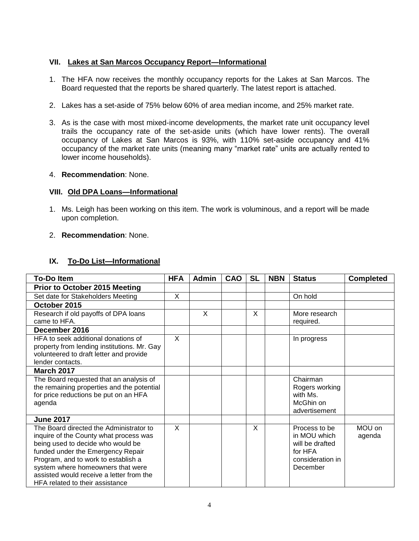## **VII. Lakes at San Marcos Occupancy Report—Informational**

- 1. The HFA now receives the monthly occupancy reports for the Lakes at San Marcos. The Board requested that the reports be shared quarterly. The latest report is attached.
- 2. Lakes has a set-aside of 75% below 60% of area median income, and 25% market rate.
- 3. As is the case with most mixed-income developments, the market rate unit occupancy level trails the occupancy rate of the set-aside units (which have lower rents). The overall occupancy of Lakes at San Marcos is 93%, with 110% set-aside occupancy and 41% occupancy of the market rate units (meaning many "market rate" units are actually rented to lower income households).
- 4. **Recommendation**: None.

## **VIII. Old DPA Loans—Informational**

- 1. Ms. Leigh has been working on this item. The work is voluminous, and a report will be made upon completion.
- 2. **Recommendation**: None.

## **IX. To-Do List—Informational**

| <b>To-Do Item</b>                           | <b>HFA</b> | <b>Admin</b> | CAO | <b>SL</b> | <b>NBN</b> | <b>Status</b>    | <b>Completed</b> |
|---------------------------------------------|------------|--------------|-----|-----------|------------|------------------|------------------|
| <b>Prior to October 2015 Meeting</b>        |            |              |     |           |            |                  |                  |
| Set date for Stakeholders Meeting           | X          |              |     |           |            | On hold          |                  |
| October 2015                                |            |              |     |           |            |                  |                  |
| Research if old payoffs of DPA loans        |            | X            |     | X         |            | More research    |                  |
| came to HFA.                                |            |              |     |           |            | required.        |                  |
| December 2016                               |            |              |     |           |            |                  |                  |
| HFA to seek additional donations of         | X          |              |     |           |            | In progress      |                  |
| property from lending institutions. Mr. Gay |            |              |     |           |            |                  |                  |
| volunteered to draft letter and provide     |            |              |     |           |            |                  |                  |
| lender contacts.                            |            |              |     |           |            |                  |                  |
| <b>March 2017</b>                           |            |              |     |           |            |                  |                  |
| The Board requested that an analysis of     |            |              |     |           |            | Chairman         |                  |
| the remaining properties and the potential  |            |              |     |           |            | Rogers working   |                  |
| for price reductions be put on an HFA       |            |              |     |           |            | with Ms.         |                  |
| agenda                                      |            |              |     |           |            | McGhin on        |                  |
|                                             |            |              |     |           |            | advertisement    |                  |
| <b>June 2017</b>                            |            |              |     |           |            |                  |                  |
| The Board directed the Administrator to     | X          |              |     | X         |            | Process to be    | MOU on           |
| inquire of the County what process was      |            |              |     |           |            | in MOU which     | agenda           |
| being used to decide who would be           |            |              |     |           |            | will be drafted  |                  |
| funded under the Emergency Repair           |            |              |     |           |            | for HFA          |                  |
| Program, and to work to establish a         |            |              |     |           |            | consideration in |                  |
| system where homeowners that were           |            |              |     |           |            | December         |                  |
| assisted would receive a letter from the    |            |              |     |           |            |                  |                  |
| <b>HFA related to their assistance</b>      |            |              |     |           |            |                  |                  |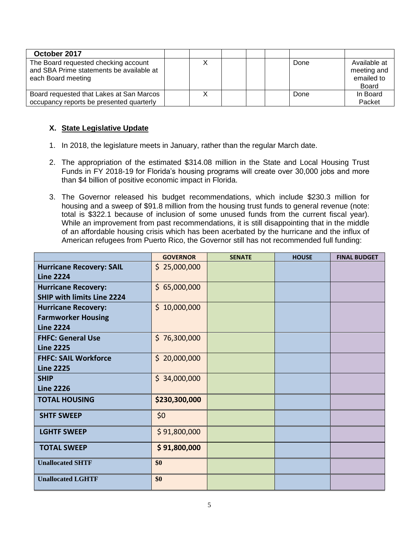| October 2017                                                                                           |  |  |      |                                           |
|--------------------------------------------------------------------------------------------------------|--|--|------|-------------------------------------------|
| The Board requested checking account<br>and SBA Prime statements be available at<br>each Board meeting |  |  | Done | Available at<br>meeting and<br>emailed to |
|                                                                                                        |  |  |      | Board                                     |
| Board requested that Lakes at San Marcos                                                               |  |  | Done | In Board                                  |
| occupancy reports be presented quarterly                                                               |  |  |      | Packet                                    |

# **X. State Legislative Update**

- 1. In 2018, the legislature meets in January, rather than the regular March date.
- 2. The appropriation of the estimated \$314.08 million in the State and Local Housing Trust Funds in FY 2018-19 for Florida's housing programs will create over 30,000 jobs and more than \$4 billion of positive economic impact in Florida.
- 3. The Governor released his budget recommendations, which include \$230.3 million for housing and a sweep of \$91.8 million from the housing trust funds to general revenue (note: total is \$322.1 because of inclusion of some unused funds from the current fiscal year). While an improvement from past recommendations, it is still disappointing that in the middle of an affordable housing crisis which has been acerbated by the hurricane and the influx of American refugees from Puerto Rico, the Governor still has not recommended full funding:

|                                                                             | <b>GOVERNOR</b> | <b>SENATE</b> | <b>HOUSE</b> | <b>FINAL BUDGET</b> |
|-----------------------------------------------------------------------------|-----------------|---------------|--------------|---------------------|
| <b>Hurricane Recovery: SAIL</b><br><b>Line 2224</b>                         | \$25,000,000    |               |              |                     |
| <b>Hurricane Recovery:</b><br><b>SHIP with limits Line 2224</b>             | \$65,000,000    |               |              |                     |
| <b>Hurricane Recovery:</b><br><b>Farmworker Housing</b><br><b>Line 2224</b> | \$10,000,000    |               |              |                     |
| <b>FHFC: General Use</b><br><b>Line 2225</b>                                | \$76,300,000    |               |              |                     |
| <b>FHFC: SAIL Workforce</b><br><b>Line 2225</b>                             | \$20,000,000    |               |              |                     |
| <b>SHIP</b><br><b>Line 2226</b>                                             | \$34,000,000    |               |              |                     |
| <b>TOTAL HOUSING</b>                                                        | \$230,300,000   |               |              |                     |
| <b>SHTF SWEEP</b>                                                           | \$0             |               |              |                     |
| <b>LGHTF SWEEP</b>                                                          | \$91,800,000    |               |              |                     |
| <b>TOTAL SWEEP</b>                                                          | \$91,800,000    |               |              |                     |
| <b>Unallocated SHTF</b>                                                     | \$0             |               |              |                     |
| <b>Unallocated LGHTF</b>                                                    | \$0             |               |              |                     |